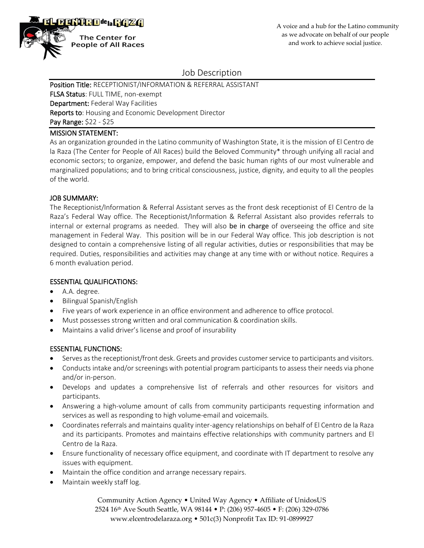

# Job Description

Position Title: RECEPTIONIST/INFORMATION & REFERRAL ASSISTANT FLSA Status: FULL TIME, non-exempt Department: Federal Way Facilities **Reports to:** Housing and Economic Development Director Pay Range: \$22 - \$25

### MISSION STATEMENT:

As an organization grounded in the Latino community of Washington State, it is the mission of El Centro de la Raza (The Center for People of All Races) build the Beloved Community\* through unifying all racial and economic sectors; to organize, empower, and defend the basic human rights of our most vulnerable and marginalized populations; and to bring critical consciousness, justice, dignity, and equity to all the peoples of the world.

#### JOB SUMMARY:

The Receptionist/Information & Referral Assistant serves as the front desk receptionist of El Centro de la Raza's Federal Way office. The Receptionist/Information & Referral Assistant also provides referrals to internal or external programs as needed. They will also be in charge of overseeing the office and site management in Federal Way. This position will be in our Federal Way office. This job description is not designed to contain a comprehensive listing of all regular activities, duties or responsibilities that may be required. Duties, responsibilities and activities may change at any time with or without notice. Requires a 6 month evaluation period.

## ESSENTIAL QUALIFICATIONS:

- A.A. degree.
- Bilingual Spanish/English
- Five years of work experience in an office environment and adherence to office protocol.
- Must possesses strong written and oral communication & coordination skills.
- Maintains a valid driver's license and proof of insurability

## ESSENTIAL FUNCTIONS:

- Serves as the receptionist/front desk. Greets and provides customer service to participants and visitors.
- Conducts intake and/or screenings with potential program participants to assess their needs via phone and/or in-person.
- Develops and updates a comprehensive list of referrals and other resources for visitors and participants.
- Answering a high-volume amount of calls from community participants requesting information and services as well as responding to high volume-email and voicemails.
- Coordinates referrals and maintains quality inter-agency relationships on behalf of El Centro de la Raza and its participants. Promotes and maintains effective relationships with community partners and El Centro de la Raza.
- Ensure functionality of necessary office equipment, and coordinate with IT department to resolve any issues with equipment.
- Maintain the office condition and arrange necessary repairs.
- Maintain weekly staff log.

Community Action Agency • United Way Agency • Affiliate of UnidosUS 2524 16th Ave South Seattle, WA 98144 • P: (206) 957-4605 • F: (206) 329-0786 www.elcentrodelaraza.org • 501c(3) Nonprofit Tax ID: 91-0899927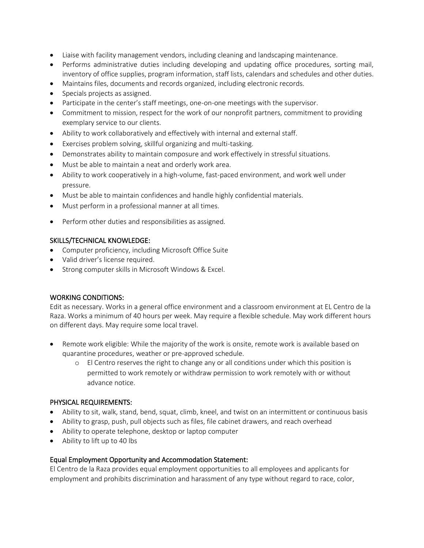- Liaise with facility management vendors, including cleaning and landscaping maintenance.
- Performs administrative duties including developing and updating office procedures, sorting mail, inventory of office supplies, program information, staff lists, calendars and schedules and other duties.
- Maintains files, documents and records organized, including electronic records.
- Specials projects as assigned.
- Participate in the center's staff meetings, one-on-one meetings with the supervisor.
- Commitment to mission, respect for the work of our nonprofit partners, commitment to providing exemplary service to our clients.
- Ability to work collaboratively and effectively with internal and external staff.
- Exercises problem solving, skillful organizing and multi-tasking.
- Demonstrates ability to maintain composure and work effectively in stressful situations.
- Must be able to maintain a neat and orderly work area.
- Ability to work cooperatively in a high-volume, fast-paced environment, and work well under pressure.
- Must be able to maintain confidences and handle highly confidential materials.
- Must perform in a professional manner at all times.
- Perform other duties and responsibilities as assigned.

#### SKILLS/TECHNICAL KNOWLEDGE:

- Computer proficiency, including Microsoft Office Suite
- Valid driver's license required.
- Strong computer skills in Microsoft Windows & Excel.

## WORKING CONDITIONS:

Edit as necessary. Works in a general office environment and a classroom environment at EL Centro de la Raza. Works a minimum of 40 hours per week. May require a flexible schedule. May work different hours on different days. May require some local travel.

- Remote work eligible: While the majority of the work is onsite, remote work is available based on quarantine procedures, weather or pre-approved schedule.
	- o El Centro reserves the right to change any or all conditions under which this position is permitted to work remotely or withdraw permission to work remotely with or without advance notice.

#### PHYSICAL REQUIREMENTS:

- Ability to sit, walk, stand, bend, squat, climb, kneel, and twist on an intermittent or continuous basis
- Ability to grasp, push, pull objects such as files, file cabinet drawers, and reach overhead
- Ability to operate telephone, desktop or laptop computer
- Ability to lift up to 40 lbs

## Equal Employment Opportunity and Accommodation Statement:

El Centro de la Raza provides equal employment opportunities to all employees and applicants for employment and prohibits discrimination and harassment of any type without regard to race, color,